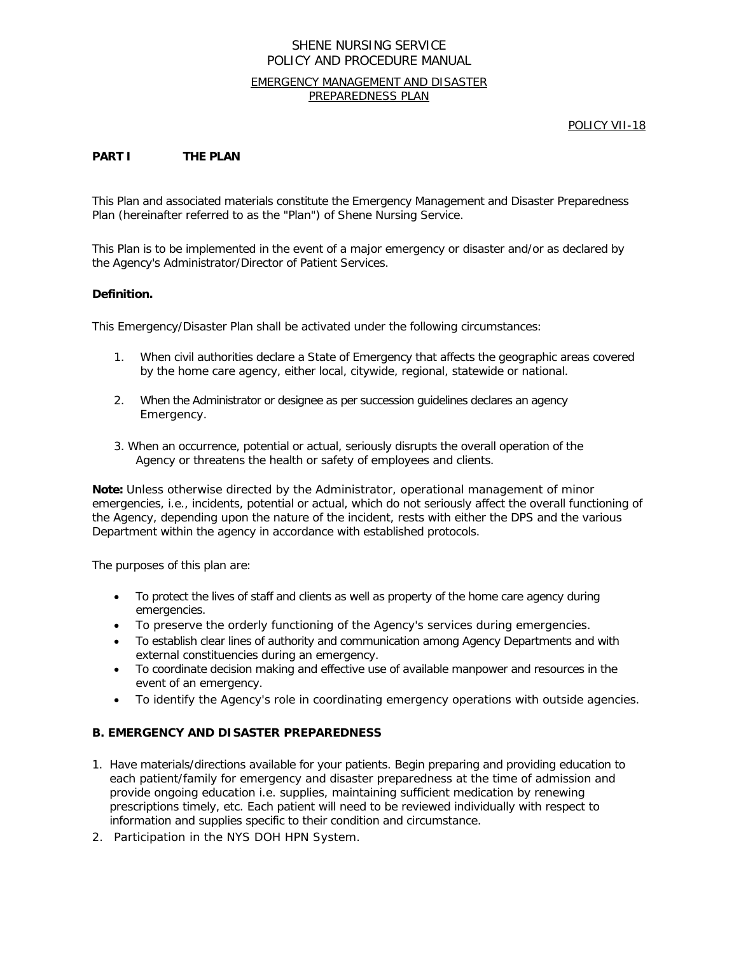### EMERGENCY MANAGEMENT AND DISASTER PREPAREDNESS PLAN

POLICY VII-18

### **PART I THE PLAN**

This Plan and associated materials constitute the Emergency Management and Disaster Preparedness Plan (hereinafter referred to as the "Plan") of Shene Nursing Service.

This Plan is to be implemented in the event of a major emergency or disaster and/or as declared by the Agency's Administrator/Director of Patient Services.

#### **Definition.**

This Emergency/Disaster Plan shall be activated under the following circumstances:

- 1. When civil authorities declare a State of Emergency that affects the geographic areas covered by the home care agency, either local, citywide, regional, statewide or national.
- 2. When the Administrator or designee as per succession guidelines declares an agency Emergency.
- 3. When an occurrence, potential or actual, seriously disrupts the overall operation of the Agency or threatens the health or safety of employees and clients.

**Note:** Unless otherwise directed by the Administrator, operational management of minor emergencies, i.e., incidents, potential or actual, which do not seriously affect the overall functioning of the Agency, depending upon the nature of the incident, rests with either the DPS and the various Department within the agency in accordance with established protocols.

The purposes of this plan are:

- To protect the lives of staff and clients as well as property of the home care agency during emergencies.
- To preserve the orderly functioning of the Agency's services during emergencies.
- To establish clear lines of authority and communication among Agency Departments and with external constituencies during an emergency.
- To coordinate decision making and effective use of available manpower and resources in the event of an emergency.
- To identify the Agency's role in coordinating emergency operations with outside agencies.

### **B. EMERGENCY AND DISASTER PREPAREDNESS**

- 1. Have materials/directions available for your patients. Begin preparing and providing education to each patient/family for emergency and disaster preparedness at the time of admission and provide ongoing education i.e. supplies, maintaining sufficient medication by renewing prescriptions timely, etc. Each patient will need to be reviewed individually with respect to information and supplies specific to their condition and circumstance.
- 2. Participation in the NYS DOH HPN System.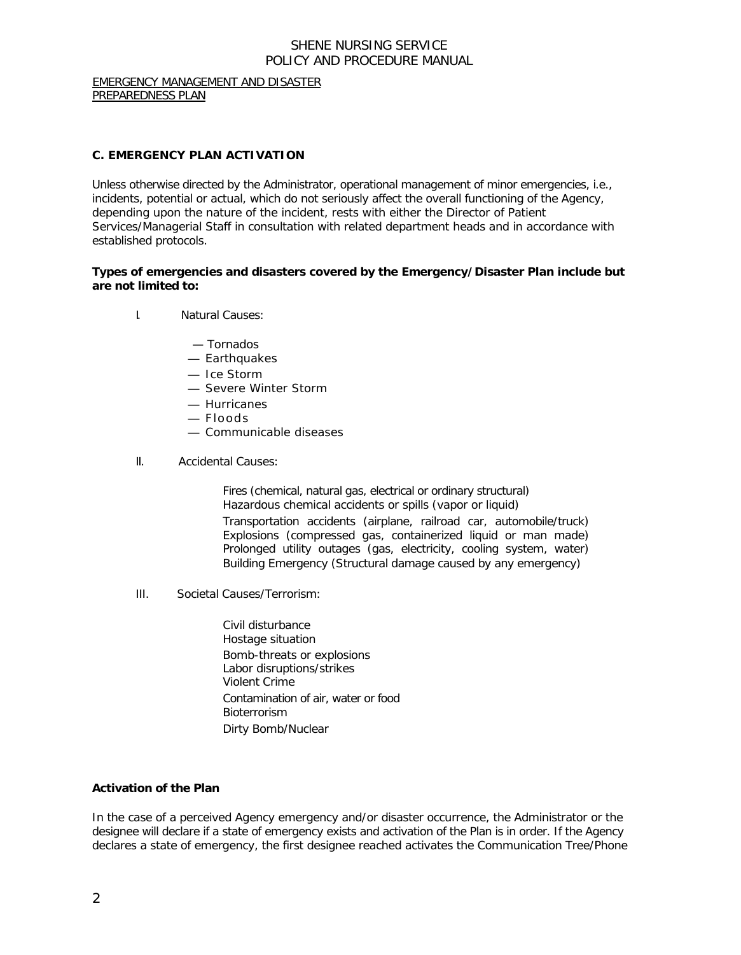EMERGENCY MANAGEMENT AND DISASTER PREPAREDNESS PLAN

## **C. EMERGENCY PLAN ACTIVATION**

Unless otherwise directed by the Administrator, operational management of minor emergencies, i.e., incidents, potential or actual, which do not seriously affect the overall functioning of the Agency, depending upon the nature of the incident, rests with either the Director of Patient Services/Managerial Staff in consultation with related department heads and in accordance with established protocols.

### **Types of emergencies and disasters covered by the Emergency/Disaster Plan include but are not limited to:**

- I. Natural Causes:
	- Tornados
	- Earthquakes
	- Ice Storm
	- Severe Winter Storm
	- Hurricanes
	- Floods
	- Communicable diseases
- II. Accidental Causes:

Fires (chemical, natural gas, electrical or ordinary structural) Hazardous chemical accidents or spills (vapor or liquid) Transportation accidents (airplane, railroad car, automobile/truck) Explosions (compressed gas, containerized liquid or man made) Prolonged utility outages (gas, electricity, cooling system, water) Building Emergency (Structural damage caused by any emergency)

III. Societal Causes/Terrorism:

Civil disturbance Hostage situation Bomb-threats or explosions Labor disruptions/strikes Violent Crime Contamination of air, water or food **Bioterrorism** Dirty Bomb/Nuclear

### **Activation of the Plan**

In the case of a perceived Agency emergency and/or disaster occurrence, the Administrator or the designee will declare if a state of emergency exists and activation of the Plan is in order. If the Agency declares a state of emergency, the first designee reached activates the Communication Tree/Phone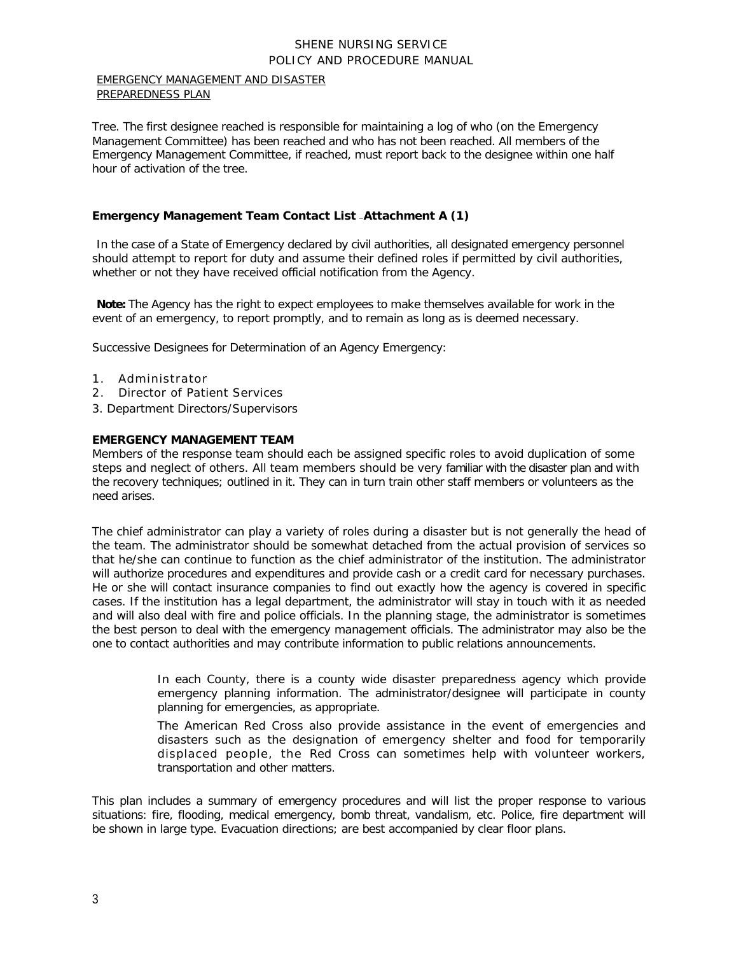#### EMERGENCY MANAGEMENT AND DISASTER PREPAREDNESS PLAN

Tree. The first designee reached is responsible for maintaining a log of who (on the Emergency Management Committee) has been reached and who has not been reached. All members of the Emergency Management Committee, if reached, must report back to the designee within one half hour of activation of the tree.

# **Emergency Management Team Contact List —Attachment A (1)**

In the case of a State of Emergency declared by civil authorities, all designated emergency personnel should attempt to report for duty and assume their defined roles if permitted by civil authorities, whether or not they have received official notification from the Agency.

**Note:** The Agency has the right to expect employees to make themselves available for work in the event of an emergency, to report promptly, and to remain as long as is deemed necessary.

Successive Designees for Determination of an Agency Emergency:

- 1. Administrator
- 2. Director of Patient Services
- 3. Department Directors/Supervisors

### **EMERGENCY MANAGEMENT TEAM**

Members of the response team should each be assigned specific roles to avoid duplication of some steps and neglect of others. All team members should be very familiar with the disaster plan and with the recovery techniques; outlined in it. They can in turn train other staff members or volunteers as the need arises.

The chief administrator can play a variety of roles during a disaster but is not generally the head of the team. The administrator should be somewhat detached from the actual provision of services so that he/she can continue to function as the chief administrator of the institution. The administrator will authorize procedures and expenditures and provide cash or a credit card for necessary purchases. He or she will contact insurance companies to find out exactly how the agency is covered in specific cases. If the institution has a legal department, the administrator will stay in touch with it as needed and will also deal with fire and police officials. In the planning stage, the administrator is sometimes the best person to deal with the emergency management officials. The administrator may also be the one to contact authorities and may contribute information to public relations announcements.

> In each County, there is a county wide disaster preparedness agency which provide emergency planning information. The administrator/designee will participate in county planning for emergencies, as appropriate.

> The American Red Cross also provide assistance in the event of emergencies and disasters such as the designation of emergency shelter and food for temporarily displaced people, the Red Cross can sometimes help with volunteer workers, transportation and other matters.

This plan includes a summary of emergency procedures and will list the proper response to various situations: fire, flooding, medical emergency, bomb threat, vandalism, etc. Police, fire department will be shown in large type. Evacuation directions; are best accompanied by clear floor plans.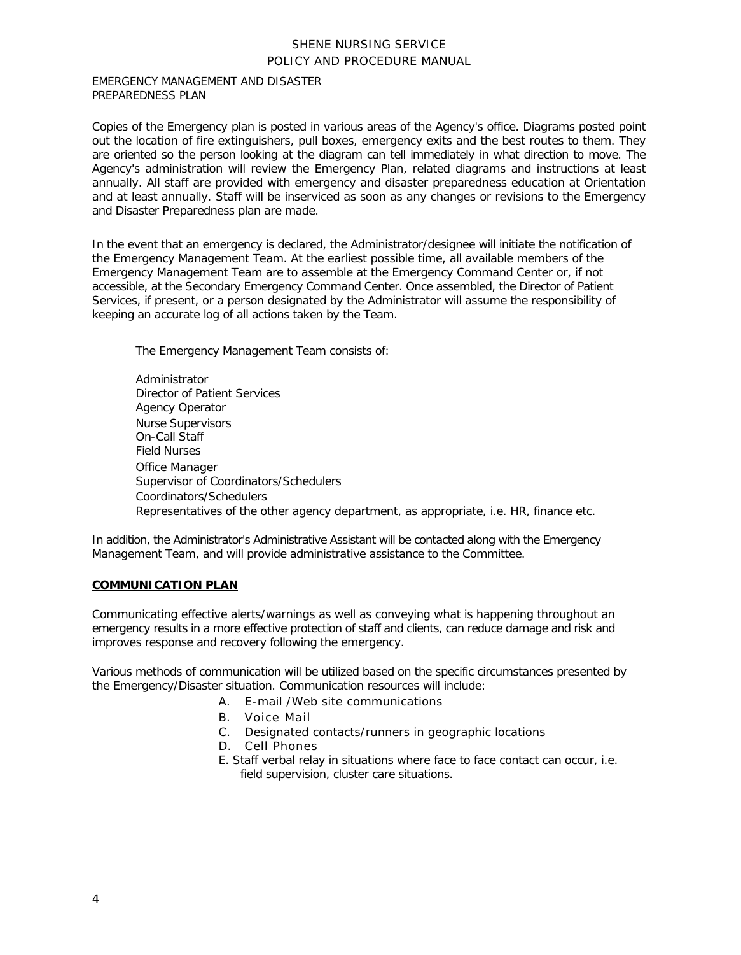#### EMERGENCY MANAGEMENT AND DISASTER PREPAREDNESS PLAN

Copies of the Emergency plan is posted in various areas of the Agency's office. Diagrams posted point out the location of fire extinguishers, pull boxes, emergency exits and the best routes to them. They are oriented so the person looking at the diagram can tell immediately in what direction to move. The Agency's administration will review the Emergency Plan, related diagrams and instructions at least annually. All staff are provided with emergency and disaster preparedness education at Orientation and at least annually. Staff will be inserviced as soon as any changes or revisions to the Emergency and Disaster Preparedness plan are made.

In the event that an emergency is declared, the Administrator/designee will initiate the notification of the Emergency Management Team. At the earliest possible time, all available members of the Emergency Management Team are to assemble at the Emergency Command Center or, if not accessible, at the Secondary Emergency Command Center. Once assembled, the Director of Patient Services, if present, or a person designated by the Administrator will assume the responsibility of keeping an accurate log of all actions taken by the Team.

The Emergency Management Team consists of:

Administrator Director of Patient Services Agency Operator Nurse Supervisors On-Call Staff Field Nurses Office Manager Supervisor of Coordinators/Schedulers Coordinators/Schedulers Representatives of the other agency department, as appropriate, i.e. HR, finance etc.

In addition, the Administrator's Administrative Assistant will be contacted along with the Emergency Management Team, and will provide administrative assistance to the Committee.

# **COMMUNICATION PLAN**

Communicating effective alerts/warnings as well as conveying what is happening throughout an emergency results in a more effective protection of staff and clients, can reduce damage and risk and improves response and recovery following the emergency.

Various methods of communication will be utilized based on the specific circumstances presented by the Emergency/Disaster situation. Communication resources will include:

- A. E-mail /Web site communications
- B. Voice Mail
- C. Designated contacts/runners in geographic locations
- D. Cell Phones
- E. Staff verbal relay in situations where face to face contact can occur, i.e. field supervision, cluster care situations.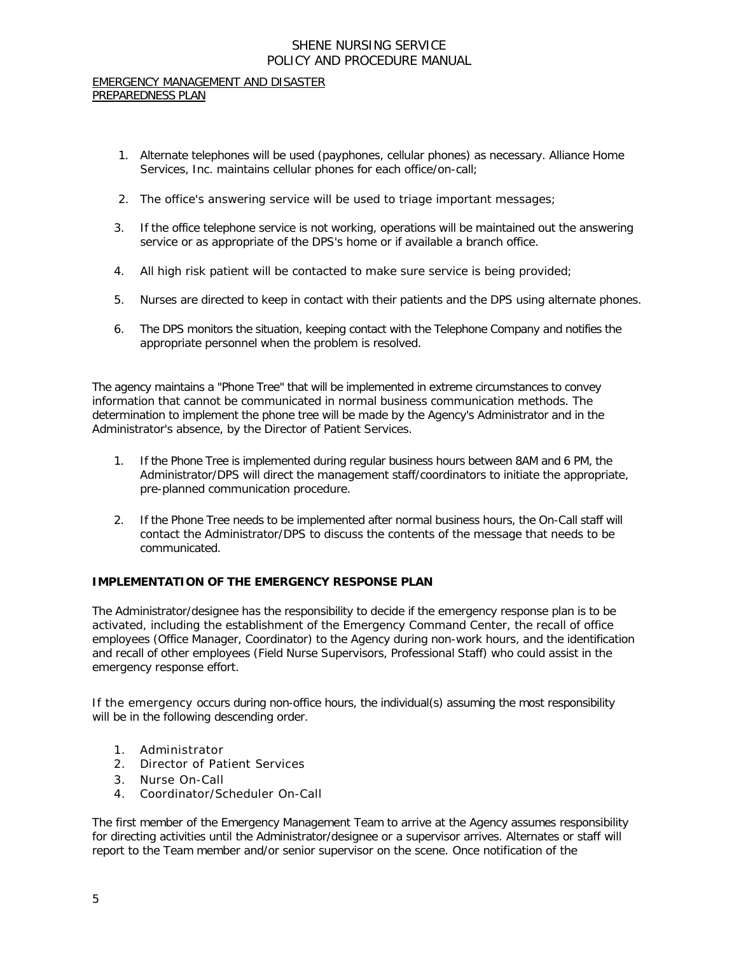#### EMERGENCY MANAGEMENT AND DISASTER PREPAREDNESS PLAN

- 1. Alternate telephones will be used (payphones, cellular phones) as necessary. Alliance Home Services, Inc. maintains cellular phones for each office/on-call;
- 2. The office's answering service will be used to triage important messages;
- 3. If the office telephone service is not working, operations will be maintained out the answering service or as appropriate of the DPS's home or if available a branch office.
- 4. All high risk patient will be contacted to make sure service is being provided;
- 5. Nurses are directed to keep in contact with their patients and the DPS using alternate phones.
- 6. The DPS monitors the situation, keeping contact with the Telephone Company and notifies the appropriate personnel when the problem is resolved.

The agency maintains a "Phone Tree" that will be implemented in extreme circumstances to convey information that cannot be communicated in normal business communication methods. The determination to implement the phone tree will be made by the Agency's Administrator and in the Administrator's absence, by the Director of Patient Services.

- 1. If the Phone Tree is implemented during regular business hours between 8AM and 6 PM, the Administrator/DPS will direct the management staff/coordinators to initiate the appropriate, pre-planned communication procedure.
- 2. If the Phone Tree needs to be implemented after normal business hours, the On-Call staff will contact the Administrator/DPS to discuss the contents of the message that needs to be communicated.

### **IMPLEMENTATION OF THE EMERGENCY RESPONSE PLAN**

The Administrator/designee has the responsibility to decide if the emergency response plan is to be activated, including the establishment of the Emergency Command Center, the recall of office employees (Office Manager, Coordinator) to the Agency during non-work hours, and the identification and recall of other employees (Field Nurse Supervisors, Professional Staff) who could assist in the emergency response effort.

If the emergency occurs during non-office hours, the individual(s) assuming the most responsibility will be in the following descending order.

- 1. Administrator
- 2. Director of Patient Services
- 3. Nurse On-Call
- 4. Coordinator/Scheduler On-Call

The first member of the Emergency Management Team to arrive at the Agency assumes responsibility for directing activities until the Administrator/designee or a supervisor arrives. Alternates or staff will report to the Team member and/or senior supervisor on the scene. Once notification of the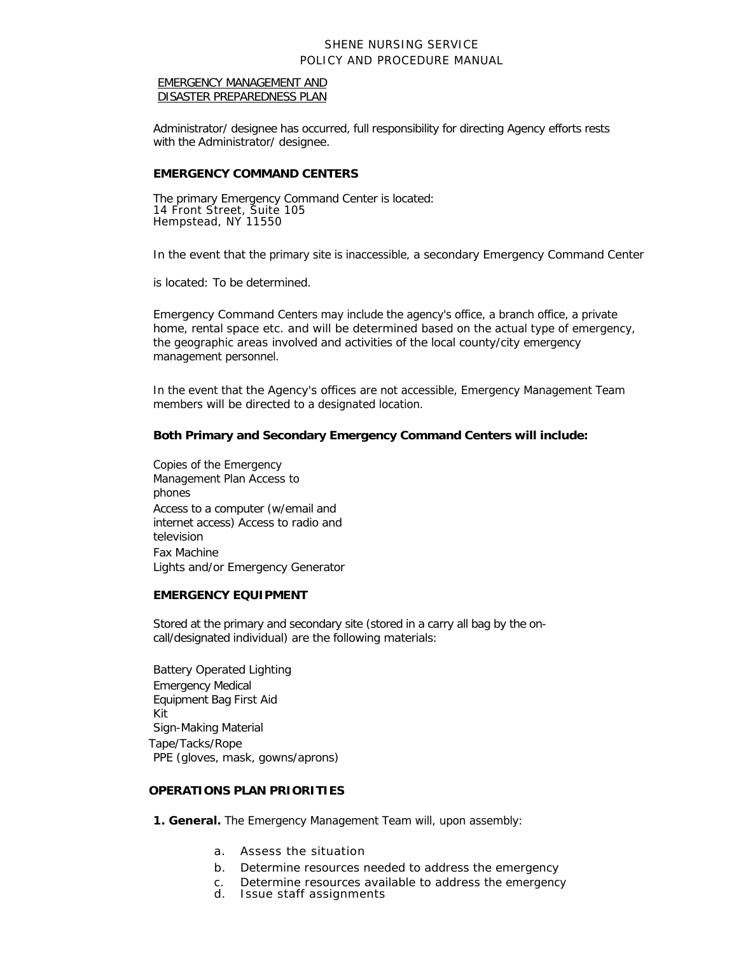#### EMERGENCY MANAGEMENT AND DISASTER PREPAREDNESS PLAN

Administrator/ designee has occurred, full responsibility for directing Agency efforts rests with the Administrator/ designee.

#### **EMERGENCY COMMAND CENTERS**

The primary Emergency Command Center is located: 14 Front Street, Suite 105 Hempstead, NY 11550

In the event that the primary site is inaccessible, a secondary Emergency Command Center

is located: To be determined.

Emergency Command Centers may include the agency's office, a branch office, a private home, rental space etc. and will be determined based on the actual type of emergency, the geographic areas involved and activities of the local county/city emergency management personnel.

In the event that the Agency's offices are not accessible, Emergency Management Team members will be directed to a designated location.

### **Both Primary and Secondary Emergency Command Centers will include:**

Copies of the Emergency Management Plan Access to phones Access to a computer (w/email and internet access) Access to radio and television Fax Machine Lights and/or Emergency Generator

#### **EMERGENCY EQUIPMENT**

Stored at the primary and secondary site (stored in a carry all bag by the oncall/designated individual) are the following materials:

Battery Operated Lighting Emergency Medical Equipment Bag First Aid Kit Sign-Making Material Tape/Tacks/Rope PPE (gloves, mask, gowns/aprons)

#### **OPERATIONS PLAN PRIORITIES**

- **1. General.** The Emergency Management Team will, upon assembly:
	- a. Assess the situation
	- b. Determine resources needed to address the emergency
	- c. Determine resources available to address the emergency
	- d. Issue staff assignments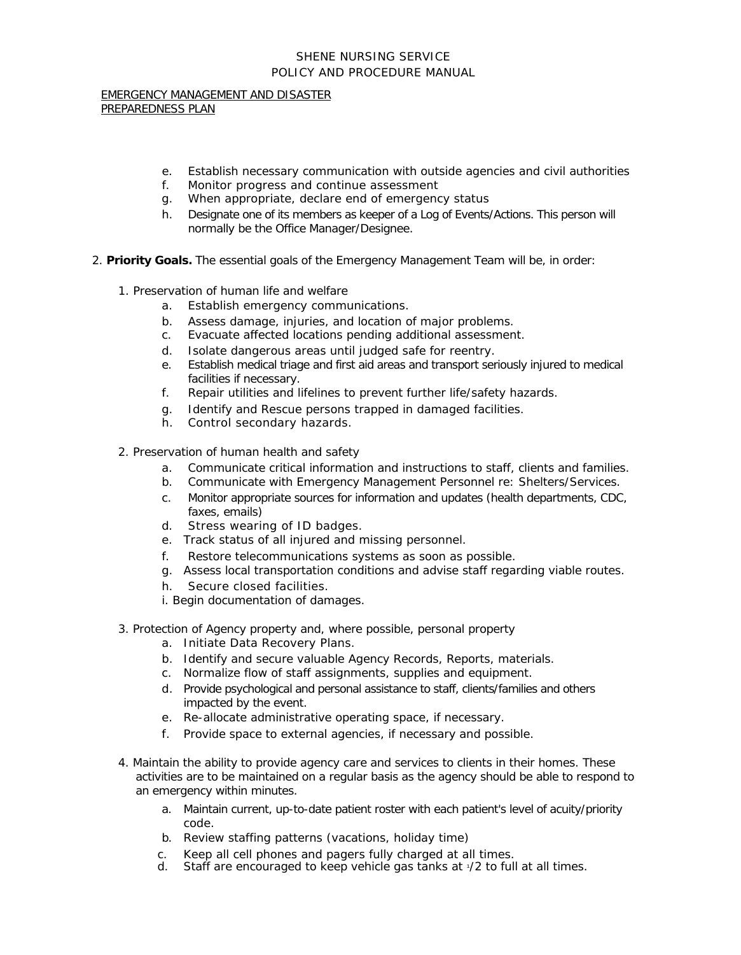EMERGENCY MANAGEMENT AND DISASTER PREPAREDNESS PLAN

- e. Establish necessary communication with outside agencies and civil authorities
- f. Monitor progress and continue assessment
- g. When appropriate, declare end of emergency status
- h. Designate one of its members as keeper of a Log of Events/Actions. This person will normally be the Office Manager/Designee.
- 2. *Priority Goals.* The essential goals of the Emergency Management Team will be, in order:
	- 1. Preservation of human life and welfare
		- a. Establish emergency communications.
		- b. Assess damage, injuries, and location of major problems.
		- c. Evacuate affected locations pending additional assessment.
		- d. Isolate dangerous areas until judged safe for reentry.
		- e. Establish medical triage and first aid areas and transport seriously injured to medical facilities if necessary.
		- f. Repair utilities and lifelines to prevent further life/safety hazards.
		- g. Identify and Rescue persons trapped in damaged facilities.
		- h. Control secondary hazards.
	- 2. Preservation of human health and safety
		- a. Communicate critical information and instructions to staff, clients and families.
		- b. Communicate with Emergency Management Personnel re: Shelters/Services.
		- c. Monitor appropriate sources for information and updates (health departments, CDC, faxes, emails)
		- d. Stress wearing of ID badges.
		- e. Track status of all injured and missing personnel.
		- f. Restore telecommunications systems as soon as possible.
		- g. Assess local transportation conditions and advise staff regarding viable routes.
		- h. Secure closed facilities.
		- i. Begin documentation of damages.
	- 3. Protection of Agency property and, where possible, personal property
		- a. Initiate Data Recovery Plans.
		- b. Identify and secure valuable Agency Records, Reports, materials.
		- c. Normalize flow of staff assignments, supplies and equipment.
		- d. Provide psychological and personal assistance to staff, clients/families and others impacted by the event.
		- e. Re-allocate administrative operating space, if necessary.
		- f. Provide space to external agencies, if necessary and possible.
	- 4. Maintain the ability to provide agency care and services to clients in their homes. These activities are to be maintained on a regular basis as the agency should be able to respond to an emergency within minutes.
		- a. Maintain current, up-to-date patient roster with each patient's level of acuity/priority code.
		- b. Review staffing patterns (vacations, holiday time)
		- c. Keep all cell phones and pagers fully charged at all times.<br>d. Staff are encouraged to keep vehicle gas tanks at  $\sqrt{2}$  to full
		- Staff are encouraged to keep vehicle gas tanks at 1/2 to full at all times.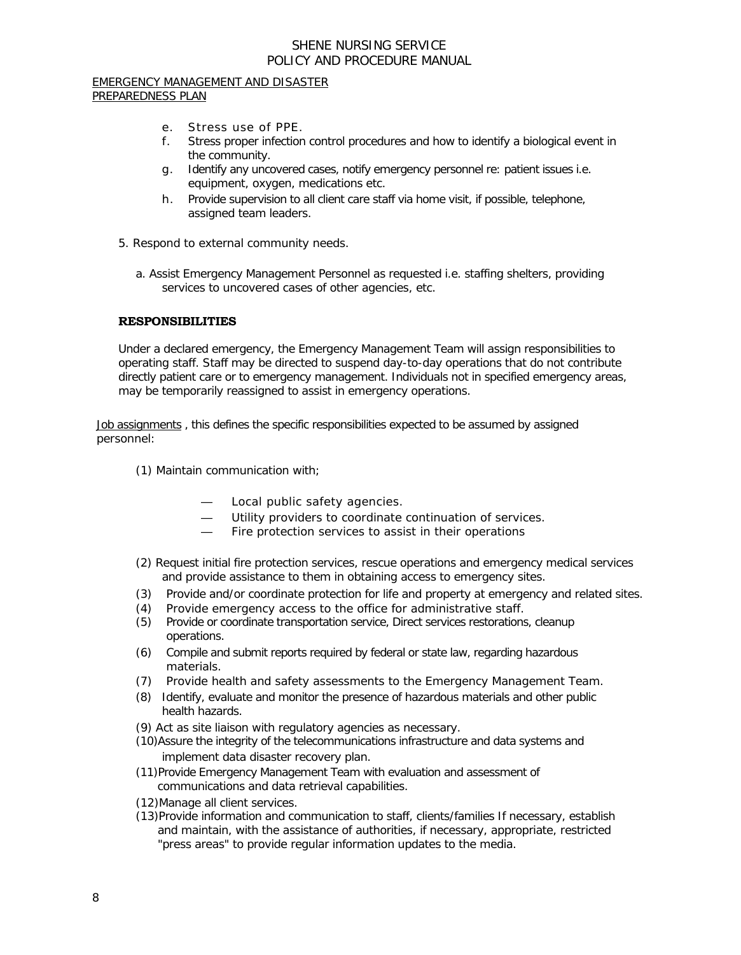#### EMERGENCY MANAGEMENT AND DISASTER PREPAREDNESS PLAN

- e. Stress use of PPE.
- f. Stress proper infection control procedures and how to identify a biological event in the community.
- g. Identify any uncovered cases, notify emergency personnel re: patient issues i.e. equipment, oxygen, medications etc.
- h. Provide supervision to all client care staff via home visit, if possible, telephone, assigned team leaders.
- 5. Respond to external community needs.
	- a. Assist Emergency Management Personnel as requested i.e. staffing shelters, providing services to uncovered cases of other agencies, etc.

## **RESPONSIBILITIES**

Under a declared emergency, the Emergency Management Team will assign responsibilities to operating staff. Staff may be directed to suspend day-to-day operations that do not contribute directly patient care or to emergency management. Individuals not in specified emergency areas, may be temporarily reassigned to assist in emergency operations.

Job assignments, this defines the specific responsibilities expected to be assumed by assigned personnel:

- (1) Maintain communication with;
	- Local public safety agencies.
	- Utility providers to coordinate continuation of services.
	- Fire protection services to assist in their operations
- (2) Request initial fire protection services, rescue operations and emergency medical services and provide assistance to them in obtaining access to emergency sites.
- (3) Provide and/or coordinate protection for life and property at emergency and related sites.
- (4) Provide emergency access to the office for administrative staff.
- (5) Provide or coordinate transportation service, Direct services restorations, cleanup operations.
- (6) Compile and submit reports required by federal or state law, regarding hazardous materials.
- (7) Provide health and safety assessments to the Emergency Management Team.
- (8) Identify, evaluate and monitor the presence of hazardous materials and other public health hazards.
- (9) Act as site liaison with regulatory agencies as necessary.
- (10)Assure the integrity of the telecommunications infrastructure and data systems and implement data disaster recovery plan.
- (11)Provide Emergency Management Team with evaluation and assessment of communications and data retrieval capabilities.
- (12)Manage all client services.
- (13)Provide information and communication to staff, clients/families If necessary, establish and maintain, with the assistance of authorities, if necessary, appropriate, restricted "press areas" to provide regular information updates to the media.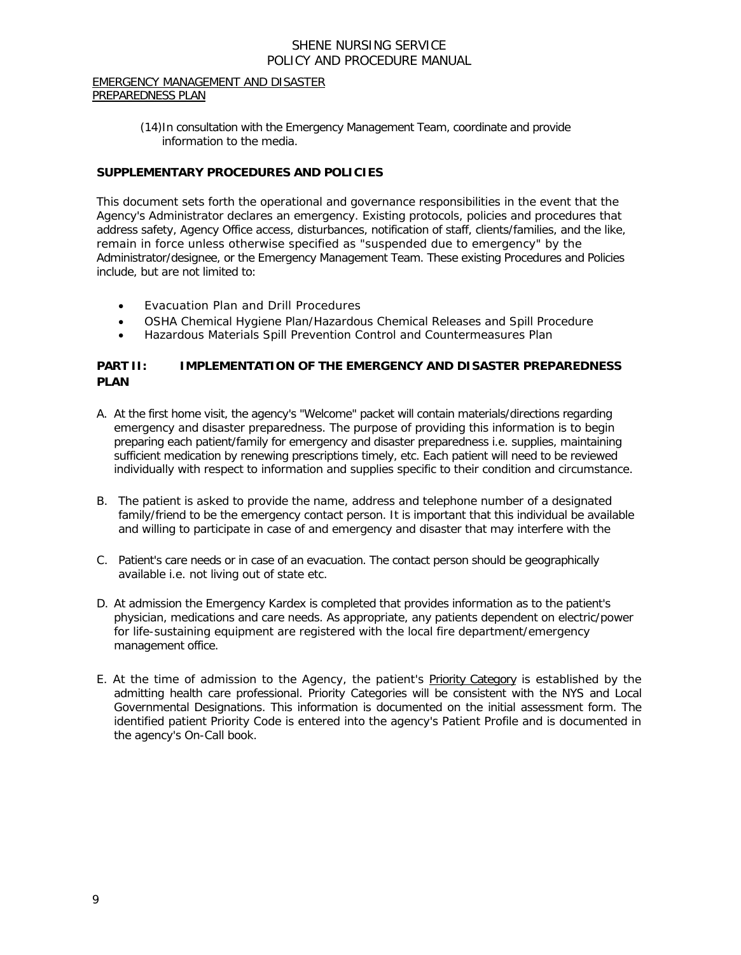#### EMERGENCY MANAGEMENT AND DISASTER PREPAREDNESS PLAN

(14)In consultation with the Emergency Management Team, coordinate and provide information to the media.

# **SUPPLEMENTARY PROCEDURES AND POLICIES**

This document sets forth the operational and governance responsibilities in the event that the Agency's Administrator declares an emergency. Existing protocols, policies and procedures that address safety, Agency Office access, disturbances, notification of staff, clients/families, and the like, remain in force unless otherwise specified as "suspended due to emergency" by the Administrator/designee, or the Emergency Management Team. These existing Procedures and Policies include, but are not limited to:

- Evacuation Plan and Drill Procedures
- OSHA Chemical Hygiene Plan/Hazardous Chemical Releases and Spill Procedure
- Hazardous Materials Spill Prevention Control and Countermeasures Plan

# **PART II: IMPLEMENTATION OF THE EMERGENCY AND DISASTER PREPAREDNESS PLAN**

- A. At the first home visit, the agency's "Welcome" packet will contain materials/directions regarding emergency and disaster preparedness. The purpose of providing this information is to begin preparing each patient/family for emergency and disaster preparedness i.e. supplies, maintaining sufficient medication by renewing prescriptions timely, etc. Each patient will need to be reviewed individually with respect to information and supplies specific to their condition and circumstance.
- B. The patient is asked to provide the name, address and telephone number of a designated family/friend to be the emergency contact person. It is important that this individual be available and willing to participate in case of and emergency and disaster that may interfere with the
- C. Patient's care needs or in case of an evacuation. The contact person should be geographically available i.e. not living out of state etc.
- D. At admission the Emergency Kardex is completed that provides information as to the patient's physician, medications and care needs. As appropriate, any patients dependent on electric/power for life-sustaining equipment are registered with the local fire department/emergency management office.
- E. At the time of admission to the Agency, the patient's Priority Category is established by the admitting health care professional. Priority Categories will be consistent with the NYS and Local Governmental Designations. This information is documented on the initial assessment form. The identified patient Priority Code is entered into the agency's Patient Profile and is documented in the agency's On-Call book.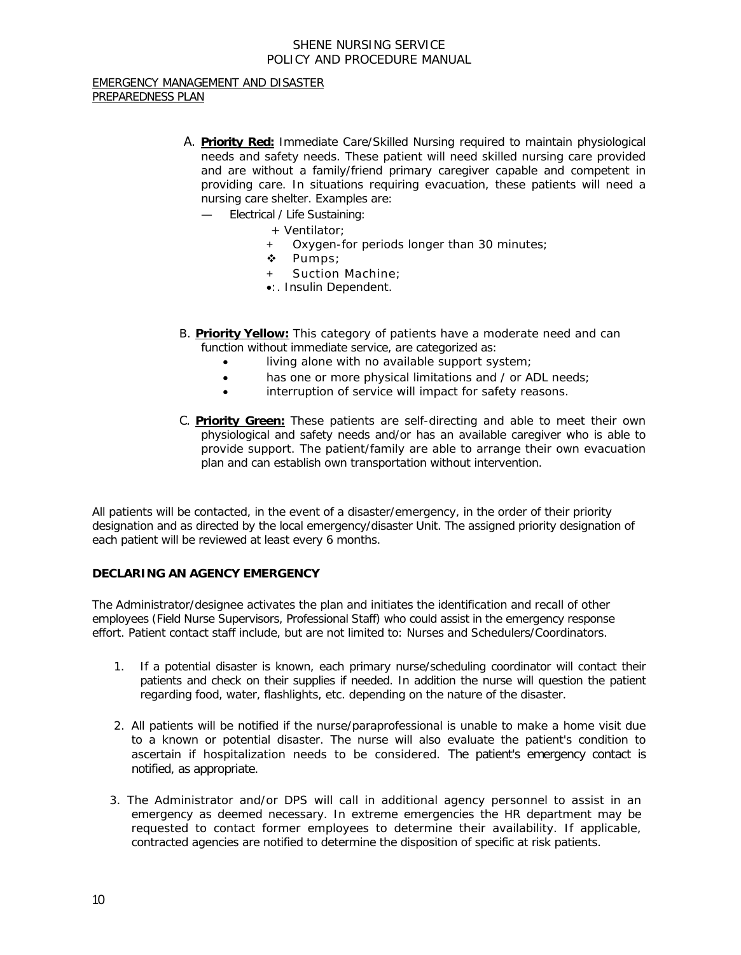#### EMERGENCY MANAGEMENT AND DISASTER PREPAREDNESS PLAN

- A. **Priority Red:** Immediate Care/Skilled Nursing required to maintain physiological needs and safety needs. These patient will need skilled nursing care provided and are without a family/friend primary caregiver capable and competent in providing care. In situations requiring evacuation, these patients will need a nursing care shelter. Examples are:
	- Electrical / Life Sustaining:
		- + Ventilator;
		- Oxygen-for periods longer than 30 minutes;
		- \* Pumps;
		- Suction Machine;
		- •:. Insulin Dependent.
- B. **Priority Yellow:** This category of patients have a moderate need and can function without immediate service, are categorized as:
	- living alone with no available support system;
	- has one or more physical limitations and / or ADL needs;
	- interruption of service will impact for safety reasons.
- C. **Priority Green:** These patients are self-directing and able to meet their own physiological and safety needs and/or has an available caregiver who is able to provide support. The patient/family are able to arrange their own evacuation plan and can establish own transportation without intervention.

All patients will be contacted, in the event of a disaster/emergency, in the order of their priority designation and as directed by the local emergency/disaster Unit. The assigned priority designation of each patient will be reviewed at least every 6 months.

# **DECLARING AN AGENCY EMERGENCY**

The Administrator/designee activates the plan and initiates the identification and recall of other employees (Field Nurse Supervisors, Professional Staff) who could assist in the emergency response effort. Patient contact staff include, but are not limited to: Nurses and Schedulers/Coordinators.

- 1. If a potential disaster is known, each primary nurse/scheduling coordinator will contact their patients and check on their supplies if needed. In addition the nurse will question the patient regarding food, water, flashlights, etc. depending on the nature of the disaster.
- 2. All patients will be notified if the nurse/paraprofessional is unable to make a home visit due to a known or potential disaster. The nurse will also evaluate the patient's condition to ascertain if hospitalization needs to be considered. The patient's emergency contact is notified, as appropriate.
- 3. The Administrator and/or DPS will call in additional agency personnel to assist in an emergency as deemed necessary. In extreme emergencies the HR department may be requested to contact former employees to determine their availability. If applicable, contracted agencies are notified to determine the disposition of specific at risk patients.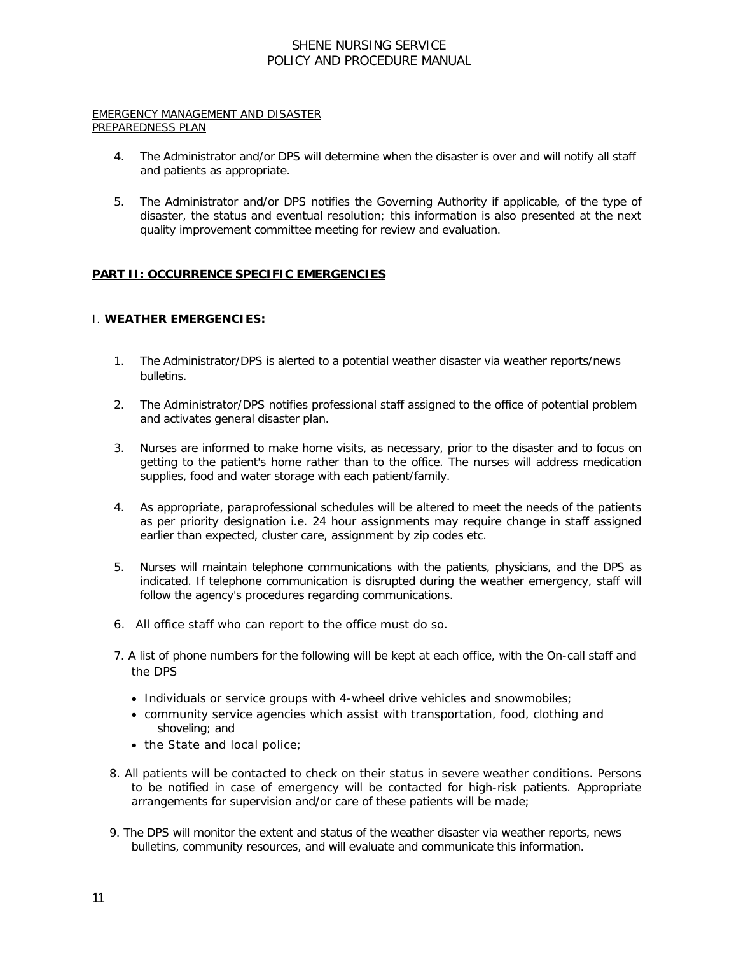#### EMERGENCY MANAGEMENT AND DISASTER PREPAREDNESS PLAN

- 4. The Administrator and/or DPS will determine when the disaster is over and will notify all staff and patients as appropriate.
- 5. The Administrator and/or DPS notifies the Governing Authority if applicable, of the type of disaster, the status and eventual resolution; this information is also presented at the next quality improvement committee meeting for review and evaluation.

# **PART II: OCCURRENCE SPECIFIC EMERGENCIES**

### I. **WEATHER EMERGENCIES:**

- 1. The Administrator/DPS is alerted to a potential weather disaster via weather reports/news bulletins.
- 2. The Administrator/DPS notifies professional staff assigned to the office of potential problem and activates general disaster plan.
- 3. Nurses are informed to make home visits, as necessary, prior to the disaster and to focus on getting to the patient's home rather than to the office. The nurses will address medication supplies, food and water storage with each patient/family.
- 4. As appropriate, paraprofessional schedules will be altered to meet the needs of the patients as per priority designation i.e. 24 hour assignments may require change in staff assigned earlier than expected, cluster care, assignment by zip codes etc.
- 5. Nurses will maintain telephone communications with the patients, physicians, and the DPS as indicated. If telephone communication is disrupted during the weather emergency, staff will follow the agency's procedures regarding communications.
- 6. All office staff who can report to the office must do so.
- 7. A list of phone numbers for the following will be kept at each office, with the On-call staff and the DPS
	- Individuals or service groups with 4-wheel drive vehicles and snowmobiles;
	- community service agencies which assist with transportation, food, clothing and shoveling; and
	- the State and local police;
- 8. All patients will be contacted to check on their status in severe weather conditions. Persons to be notified in case of emergency will be contacted for high-risk patients. Appropriate arrangements for supervision and/or care of these patients will be made;
- 9. The DPS will monitor the extent and status of the weather disaster via weather reports, news bulletins, community resources, and will evaluate and communicate this information.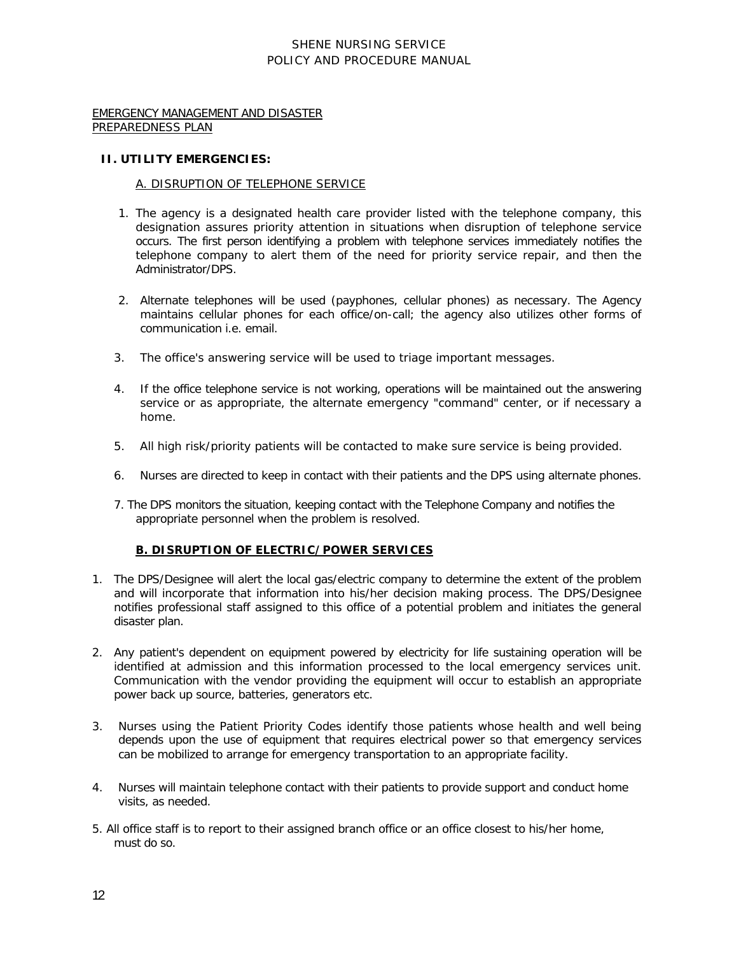EMERGENCY MANAGEMENT AND DISASTER PREPAREDNESS PLAN

#### **II. UTILITY EMERGENCIES:**

#### A. DISRUPTION OF TELEPHONE SERVICE

- 1. The agency is a designated health care provider listed with the telephone company, this designation assures priority attention in situations when disruption of telephone service occurs. The first person identifying a problem with telephone services immediately notifies the telephone company to alert them of the need for priority service repair, and then the Administrator/DPS.
- 2. Alternate telephones will be used (payphones, cellular phones) as necessary. The Agency maintains cellular phones for each office/on-call; the agency also utilizes other forms of communication i.e. email.
- 3. The office's answering service will be used to triage important messages.
- 4. If the office telephone service is not working, operations will be maintained out the answering service or as appropriate, the alternate emergency "command" center, or if necessary a home.
- 5. All high risk/priority patients will be contacted to make sure service is being provided.
- 6. Nurses are directed to keep in contact with their patients and the DPS using alternate phones.
- 7. The DPS monitors the situation, keeping contact with the Telephone Company and notifies the appropriate personnel when the problem is resolved.

### **B. DISRUPTION OF ELECTRIC/POWER SERVICES**

- 1. The DPS/Designee will alert the local gas/electric company to determine the extent of the problem and will incorporate that information into his/her decision making process. The DPS/Designee notifies professional staff assigned to this office of a potential problem and initiates the general disaster plan.
- 2. Any patient's dependent on equipment powered by electricity for life sustaining operation will be identified at admission and this information processed to the local emergency services unit. Communication with the vendor providing the equipment will occur to establish an appropriate power back up source, batteries, generators etc.
- 3. Nurses using the Patient Priority Codes identify those patients whose health and well being depends upon the use of equipment that requires electrical power so that emergency services can be mobilized to arrange for emergency transportation to an appropriate facility.
- 4. Nurses will maintain telephone contact with their patients to provide support and conduct home visits, as needed.
- 5. All office staff is to report to their assigned branch office or an office closest to his/her home, must do so.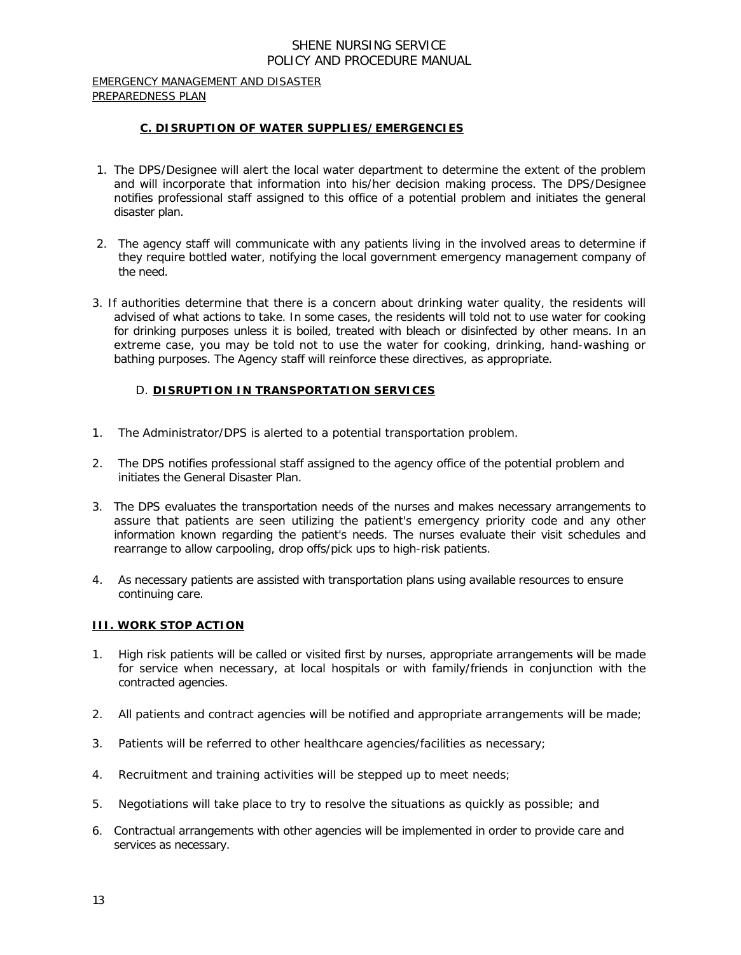#### EMERGENCY MANAGEMENT AND DISASTER PREPAREDNESS PLAN

## **C. DISRUPTION OF WATER SUPPLIES/EMERGENCIES**

- 1. The DPS/Designee will alert the local water department to determine the extent of the problem and will incorporate that information into his/her decision making process. The DPS/Designee notifies professional staff assigned to this office of a potential problem and initiates the general disaster plan.
- 2. The agency staff will communicate with any patients living in the involved areas to determine if they require bottled water, notifying the local government emergency management company of the need.
- 3. If authorities determine that there is a concern about drinking water quality, the residents will advised of what actions to take. In some cases, the residents will told not to use water for cooking for drinking purposes unless it is boiled, treated with bleach or disinfected by other means. In an extreme case, you may be told not to use the water for cooking, drinking, hand-washing or bathing purposes. The Agency staff will reinforce these directives, as appropriate.

## D. **DISRUPTION IN TRANSPORTATION SERVICES**

- 1. The Administrator/DPS is alerted to a potential transportation problem.
- 2. The DPS notifies professional staff assigned to the agency office of the potential problem and initiates the General Disaster Plan.
- 3. The DPS evaluates the transportation needs of the nurses and makes necessary arrangements to assure that patients are seen utilizing the patient's emergency priority code and any other information known regarding the patient's needs. The nurses evaluate their visit schedules and rearrange to allow carpooling, drop offs/pick ups to high-risk patients.
- 4. As necessary patients are assisted with transportation plans using available resources to ensure continuing care.

### **III. WORK STOP ACTION**

- 1. High risk patients will be called or visited first by nurses, appropriate arrangements will be made for service when necessary, at local hospitals or with family/friends in conjunction with the contracted agencies.
- 2. All patients and contract agencies will be notified and appropriate arrangements will be made;
- 3. Patients will be referred to other healthcare agencies/facilities as necessary;
- 4. Recruitment and training activities will be stepped up to meet needs;
- 5. Negotiations will take place to try to resolve the situations as quickly as possible; and
- 6. Contractual arrangements with other agencies will be implemented in order to provide care and services as necessary.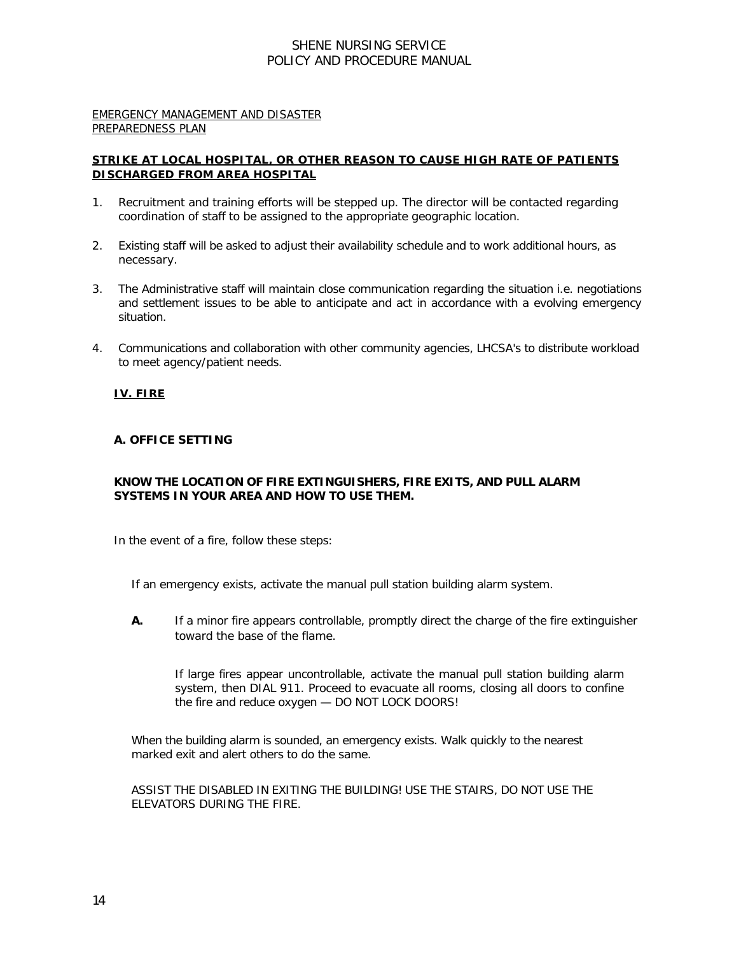#### EMERGENCY MANAGEMENT AND DISASTER PREPAREDNESS PLAN

# **STRIKE AT LOCAL HOSPITAL, OR OTHER REASON TO CAUSE HIGH RATE OF PATIENTS DISCHARGED FROM AREA HOSPITAL**

- 1. Recruitment and training efforts will be stepped up. The director will be contacted regarding coordination of staff to be assigned to the appropriate geographic location.
- 2. Existing staff will be asked to adjust their availability schedule and to work additional hours, as necessary.
- 3. The Administrative staff will maintain close communication regarding the situation i.e. negotiations and settlement issues to be able to anticipate and act in accordance with a evolving emergency situation.
- 4. Communications and collaboration with other community agencies, LHCSA's to distribute workload to meet agency/patient needs.

## **IV. FIRE**

## **A. OFFICE SETTING**

## **KNOW THE LOCATION OF FIRE EXTINGUISHERS, FIRE EXITS, AND PULL ALARM SYSTEMS IN YOUR AREA AND HOW TO USE THEM.**

In the event of a fire, follow these steps:

If an emergency exists, activate the manual pull station building alarm system.

**A.** If a minor fire appears controllable, promptly direct the charge of the fire extinguisher toward the base of the flame.

If large fires appear uncontrollable, activate the manual pull station building alarm system, then DIAL 911. Proceed to evacuate all rooms, closing all doors to confine the fire and reduce oxygen — DO NOT LOCK DOORS!

When the building alarm is sounded, an emergency exists. Walk quickly to the nearest marked exit and alert others to do the same.

ASSIST THE DISABLED IN EXITING THE BUILDING! USE THE STAIRS, DO NOT USE THE ELEVATORS DURING THE FIRE.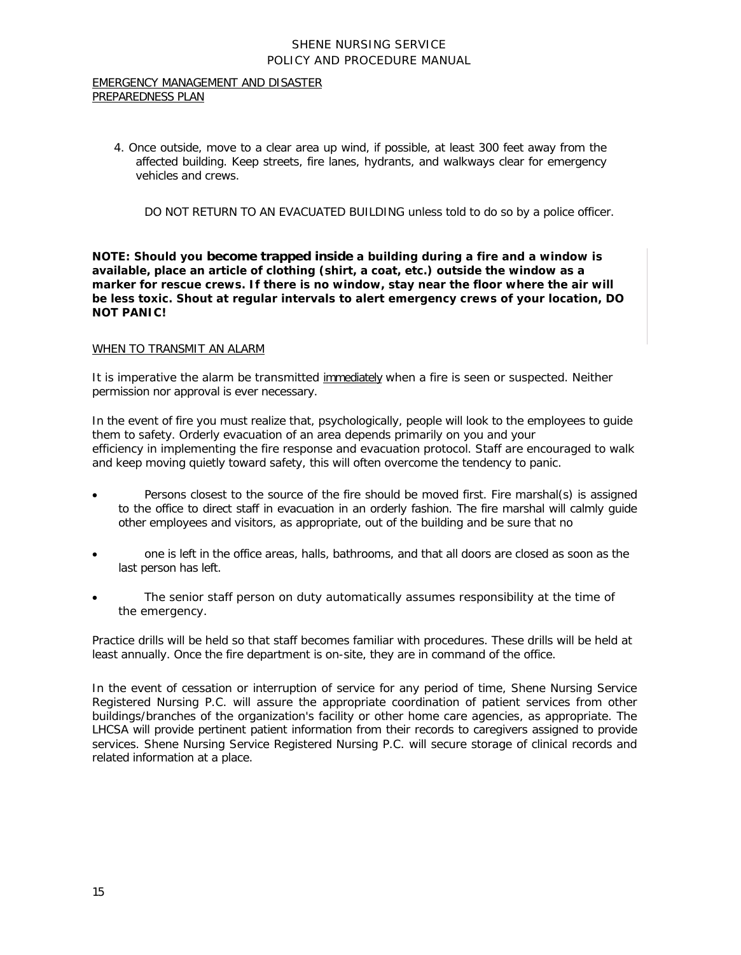#### EMERGENCY MANAGEMENT AND DISASTER PREPAREDNESS PLAN

4. Once outside, move to a clear area up wind, if possible, at least 300 feet away from the affected building. Keep streets, fire lanes, hydrants, and walkways clear for emergency vehicles and crews.

DO NOT RETURN TO AN EVACUATED BUILDING unless told to do so by a police officer.

**NOTE: Should you become trapped inside a building during a fire and a window is available, place an article of clothing (shirt, a coat, etc.) outside the window as a marker for rescue crews. If there is no window, stay near the floor where the air will be less toxic. Shout at regular intervals to alert emergency crews of your location, DO NOT PANIC!**

### WHEN TO TRANSMIT AN ALARM

It is imperative the alarm be transmitted immediately when a fire is seen or suspected. Neither permission nor approval is ever necessary.

In the event of fire you must realize that, psychologically, people will look to the employees to guide them to safety. Orderly evacuation of an area depends primarily on you and your efficiency in implementing the fire response and evacuation protocol. Staff are encouraged to walk and keep moving quietly toward safety, this will often overcome the tendency to panic.

- Persons closest to the source of the fire should be moved first. Fire marshal(s) is assigned to the office to direct staff in evacuation in an orderly fashion. The fire marshal will calmly guide other employees and visitors, as appropriate, out of the building and be sure that no
- one is left in the office areas, halls, bathrooms, and that all doors are closed as soon as the last person has left.
- The senior staff person on duty automatically assumes responsibility at the time of the emergency.

Practice drills will be held so that staff becomes familiar with procedures. These drills will be held at least annually. Once the fire department is on-site, they are in command of the office.

In the event of cessation or interruption of service for any period of time, Shene Nursing Service Registered Nursing P.C. will assure the appropriate coordination of patient services from other buildings/branches of the organization's facility or other home care agencies, as appropriate. The LHCSA will provide pertinent patient information from their records to caregivers assigned to provide services. Shene Nursing Service Registered Nursing P.C. will secure storage of clinical records and related information at a place.